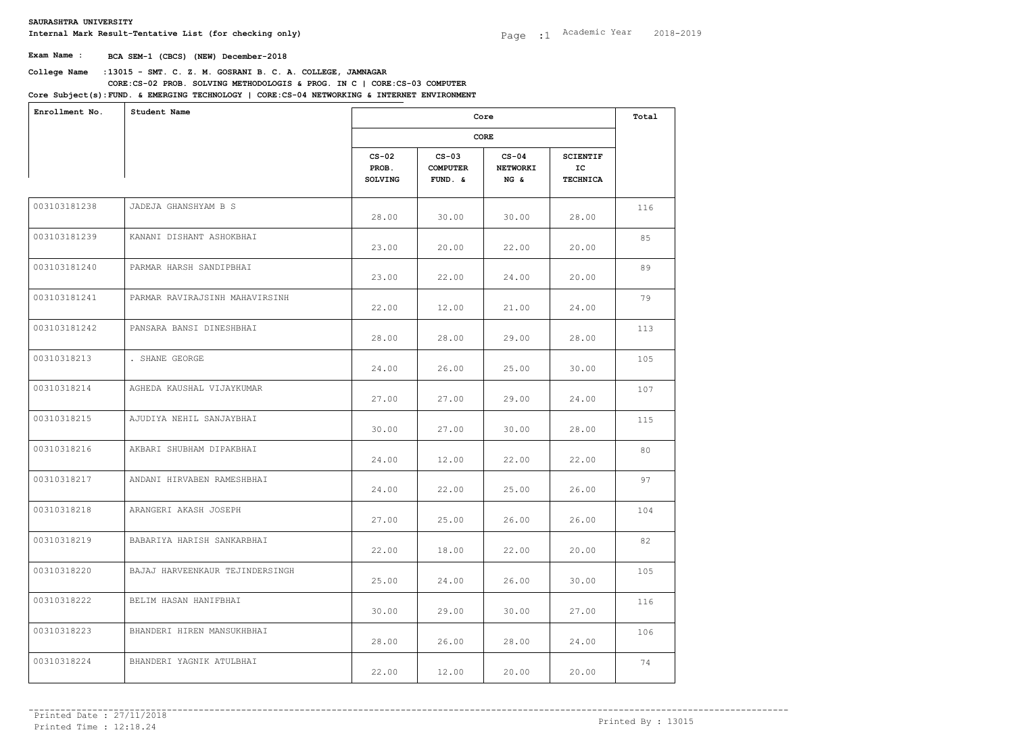**Internal Mark Result-Tentative List (for checking only)**

**Exam Name : BCA SEM-1 (CBCS) (NEW) December-2018**

| Enrollment No. | Student Name                    |                                    | Core                                     |                                    |                                          |     |  |
|----------------|---------------------------------|------------------------------------|------------------------------------------|------------------------------------|------------------------------------------|-----|--|
|                |                                 | CORE                               |                                          |                                    |                                          |     |  |
|                |                                 | $CS-02$<br>PROB.<br><b>SOLVING</b> | $CS-03$<br><b>COMPUTER</b><br>$FUND. \&$ | $CS-04$<br><b>NETWORKI</b><br>NG & | <b>SCIENTIF</b><br>IC<br><b>TECHNICA</b> |     |  |
| 003103181238   | JADEJA GHANSHYAM B S            | 28.00                              | 30.00                                    | 30.00                              | 28.00                                    | 116 |  |
| 003103181239   | KANANI DISHANT ASHOKBHAI        | 23.00                              | 20.00                                    | 22.00                              | 20.00                                    | 85  |  |
| 003103181240   | PARMAR HARSH SANDIPBHAI         | 23.00                              | 22.00                                    | 24.00                              | 20.00                                    | 89  |  |
| 003103181241   | PARMAR RAVIRAJSINH MAHAVIRSINH  | 22.00                              | 12.00                                    | 21.00                              | 24.00                                    | 79  |  |
| 003103181242   | PANSARA BANSI DINESHBHAI        | 28.00                              | 28.00                                    | 29.00                              | 28.00                                    | 113 |  |
| 00310318213    | . SHANE GEORGE                  | 24.00                              | 26.00                                    | 25.00                              | 30.00                                    | 105 |  |
| 00310318214    | AGHEDA KAUSHAL VIJAYKUMAR       | 27.00                              | 27.00                                    | 29.00                              | 24.00                                    | 107 |  |
| 00310318215    | AJUDIYA NEHIL SANJAYBHAI        | 30.00                              | 27.00                                    | 30.00                              | 28.00                                    | 115 |  |
| 00310318216    | AKBARI SHUBHAM DIPAKBHAI        | 24.00                              | 12.00                                    | 22.00                              | 22.00                                    | 80  |  |
| 00310318217    | ANDANI HIRVABEN RAMESHBHAI      | 24.00                              | 22.00                                    | 25.00                              | 26.00                                    | 97  |  |
| 00310318218    | ARANGERI AKASH JOSEPH           | 27.00                              | 25.00                                    | 26.00                              | 26.00                                    | 104 |  |
| 00310318219    | BABARIYA HARISH SANKARBHAI      | 22.00                              | 18.00                                    | 22.00                              | 20.00                                    | 82  |  |
| 00310318220    | BAJAJ HARVEENKAUR TEJINDERSINGH | 25.00                              | 24.00                                    | 26.00                              | 30.00                                    | 105 |  |
| 00310318222    | BELIM HASAN HANIFBHAI           | 30.00                              | 29.00                                    | 30.00                              | 27.00                                    | 116 |  |
| 00310318223    | BHANDERI HIREN MANSUKHBHAI      | 28.00                              | 26.00                                    | 28.00                              | 24.00                                    | 106 |  |
| 00310318224    | BHANDERI YAGNIK ATULBHAI        | 22.00                              | 12.00                                    | 20.00                              | 20.00                                    | 74  |  |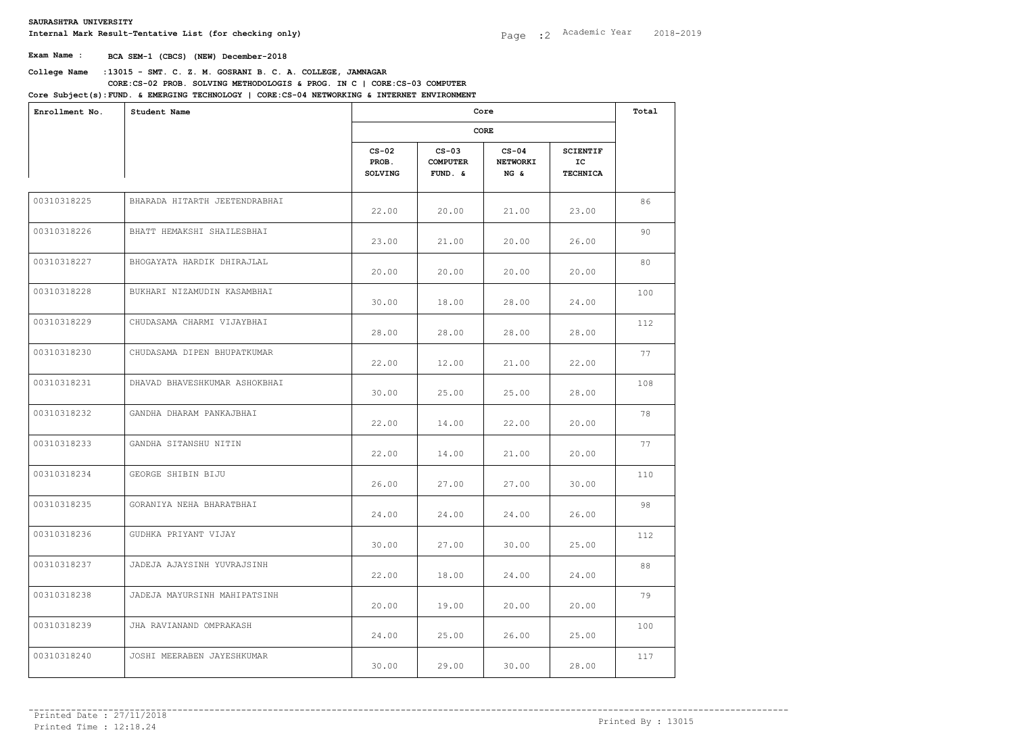| Enrollment No. | Student Name                  |                                    | Core<br>CORE                             |                                    |                                          |     |  |
|----------------|-------------------------------|------------------------------------|------------------------------------------|------------------------------------|------------------------------------------|-----|--|
|                |                               |                                    |                                          |                                    |                                          |     |  |
|                |                               | $CS-02$<br>PROB.<br><b>SOLVING</b> | $CS-03$<br><b>COMPUTER</b><br>$FUND. \&$ | $CS-04$<br><b>NETWORKI</b><br>NG & | <b>SCIENTIF</b><br>IC<br><b>TECHNICA</b> |     |  |
| 00310318225    | BHARADA HITARTH JEETENDRABHAI | 22.00                              | 20.00                                    | 21.00                              | 23.00                                    | 86  |  |
| 00310318226    | BHATT HEMAKSHI SHAILESBHAI    | 23.00                              | 21.00                                    | 20.00                              | 26.00                                    | 90  |  |
| 00310318227    | BHOGAYATA HARDIK DHIRAJLAL    | 20.00                              | 20.00                                    | 20.00                              | 20.00                                    | 80  |  |
| 00310318228    | BUKHARI NIZAMUDIN KASAMBHAI   | 30.00                              | 18.00                                    | 28.00                              | 24.00                                    | 100 |  |
| 00310318229    | CHUDASAMA CHARMI VIJAYBHAI    | 28.00                              | 28.00                                    | 28.00                              | 28.00                                    | 112 |  |
| 00310318230    | CHUDASAMA DIPEN BHUPATKUMAR   | 22.00                              | 12.00                                    | 21.00                              | 22.00                                    | 77  |  |
| 00310318231    | DHAVAD BHAVESHKUMAR ASHOKBHAI | 30.00                              | 25.00                                    | 25.00                              | 28.00                                    | 108 |  |
| 00310318232    | GANDHA DHARAM PANKAJBHAI      | 22.00                              | 14.00                                    | 22.00                              | 20.00                                    | 78  |  |
| 00310318233    | GANDHA SITANSHU NITIN         | 22.00                              | 14.00                                    | 21.00                              | 20.00                                    | 77  |  |
| 00310318234    | GEORGE SHIBIN BIJU            | 26.00                              | 27.00                                    | 27.00                              | 30.00                                    | 110 |  |
| 00310318235    | GORANIYA NEHA BHARATBHAI      | 24.00                              | 24.00                                    | 24.00                              | 26.00                                    | 98  |  |
| 00310318236    | GUDHKA PRIYANT VIJAY          | 30.00                              | 27.00                                    | 30.00                              | 25.00                                    | 112 |  |
| 00310318237    | JADEJA AJAYSINH YUVRAJSINH    | 22.00                              | 18.00                                    | 24.00                              | 24.00                                    | 88  |  |
| 00310318238    | JADEJA MAYURSINH MAHIPATSINH  | 20.00                              | 19.00                                    | 20.00                              | 20.00                                    | 79  |  |
| 00310318239    | JHA RAVIANAND OMPRAKASH       | 24.00                              | 25.00                                    | 26.00                              | 25.00                                    | 100 |  |
| 00310318240    | JOSHI MEERABEN JAYESHKUMAR    | 30.00                              | 29.00                                    | 30.00                              | 28.00                                    | 117 |  |
|                |                               |                                    |                                          |                                    |                                          |     |  |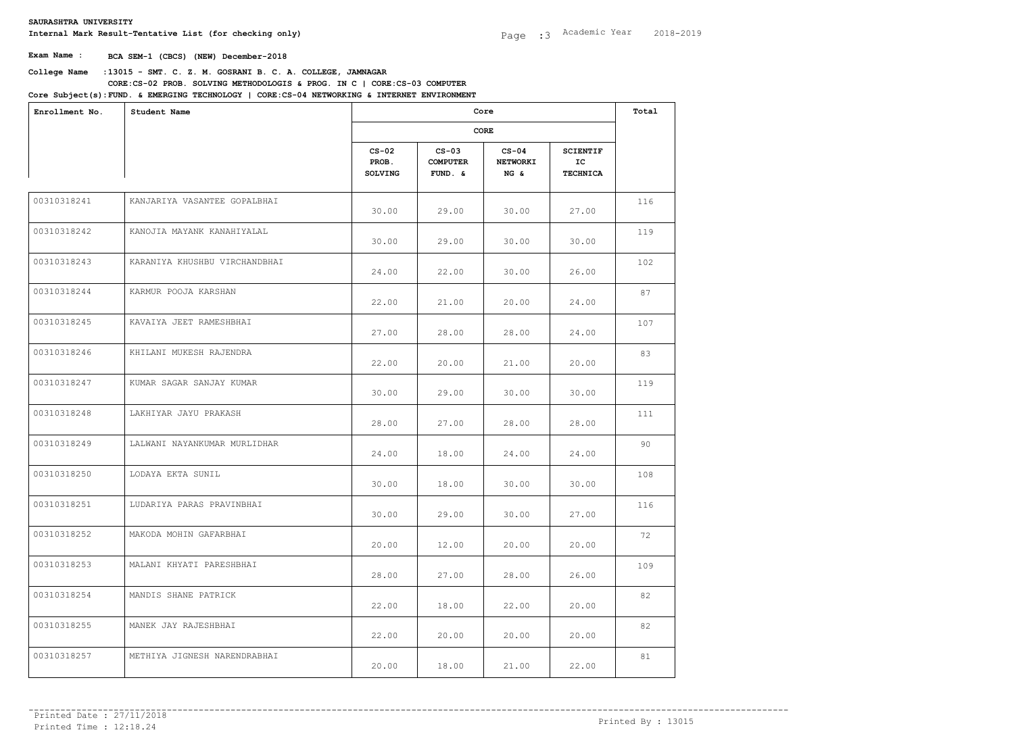| Enrollment No. | Student Name                  |                             | Core<br>CORE                             |                                    |                                          |     |  |
|----------------|-------------------------------|-----------------------------|------------------------------------------|------------------------------------|------------------------------------------|-----|--|
|                |                               |                             |                                          |                                    |                                          |     |  |
|                |                               | $CS-02$<br>PROB.<br>SOLVING | $CS-03$<br><b>COMPUTER</b><br>$FUND. \&$ | $CS-04$<br><b>NETWORKI</b><br>NG & | <b>SCIENTIF</b><br>IC<br><b>TECHNICA</b> |     |  |
| 00310318241    | KANJARIYA VASANTEE GOPALBHAI  | 30.00                       | 29.00                                    | 30.00                              | 27.00                                    | 116 |  |
| 00310318242    | KANOJIA MAYANK KANAHIYALAL    | 30.00                       | 29.00                                    | 30.00                              | 30.00                                    | 119 |  |
| 00310318243    | KARANIYA KHUSHBU VIRCHANDBHAI | 24.00                       | 22.00                                    | 30.00                              | 26.00                                    | 102 |  |
| 00310318244    | KARMUR POOJA KARSHAN          | 22.00                       | 21.00                                    | 20.00                              | 24.00                                    | 87  |  |
| 00310318245    | KAVAIYA JEET RAMESHBHAI       | 27.00                       | 28.00                                    | 28.00                              | 24.00                                    | 107 |  |
| 00310318246    | KHILANI MUKESH RAJENDRA       | 22.00                       | 20.00                                    | 21.00                              | 20.00                                    | 83  |  |
| 00310318247    | KUMAR SAGAR SANJAY KUMAR      | 30.00                       | 29.00                                    | 30.00                              | 30.00                                    | 119 |  |
| 00310318248    | LAKHIYAR JAYU PRAKASH         | 28.00                       | 27.00                                    | 28.00                              | 28.00                                    | 111 |  |
| 00310318249    | LALWANI NAYANKUMAR MURLIDHAR  | 24.00                       | 18.00                                    | 24.00                              | 24.00                                    | 90  |  |
| 00310318250    | LODAYA EKTA SUNIL             | 30.00                       | 18.00                                    | 30.00                              | 30.00                                    | 108 |  |
| 00310318251    | LUDARIYA PARAS PRAVINBHAI     | 30.00                       | 29.00                                    | 30.00                              | 27.00                                    | 116 |  |
| 00310318252    | MAKODA MOHIN GAFARBHAI        | 20.00                       | 12.00                                    | 20.00                              | 20.00                                    | 72  |  |
| 00310318253    | MALANI KHYATI PARESHBHAI      | 28.00                       | 27.00                                    | 28.00                              | 26.00                                    | 109 |  |
| 00310318254    | MANDIS SHANE PATRICK          | 22.00                       | 18.00                                    | 22.00                              | 20.00                                    | 82  |  |
| 00310318255    | MANEK JAY RAJESHBHAI          | 22.00                       | 20.00                                    | 20.00                              | 20.00                                    | 82  |  |
| 00310318257    | METHIYA JIGNESH NARENDRABHAI  | 20.00                       | 18.00                                    | 21.00                              | 22.00                                    | 81  |  |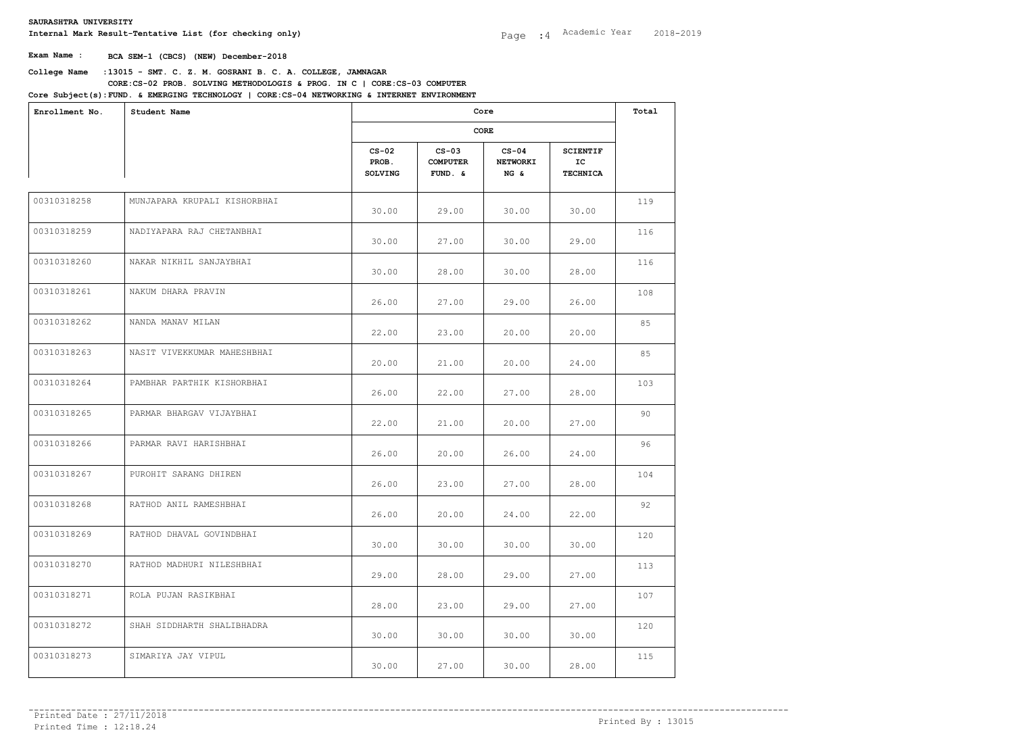| Enrollment No. | Student Name                 |                             | Core                                    |                                    |                                          |     |  |
|----------------|------------------------------|-----------------------------|-----------------------------------------|------------------------------------|------------------------------------------|-----|--|
|                |                              |                             |                                         |                                    |                                          |     |  |
|                |                              | $CS-02$<br>PROB.<br>SOLVING | $CS-03$<br><b>COMPUTER</b><br>$FUND.$ & | $CS-04$<br><b>NETWORKI</b><br>NG & | <b>SCIENTIF</b><br>IC<br><b>TECHNICA</b> |     |  |
| 00310318258    | MUNJAPARA KRUPALI KISHORBHAI | 30.00                       | 29.00                                   | 30.00                              | 30.00                                    | 119 |  |
| 00310318259    | NADIYAPARA RAJ CHETANBHAI    | 30.00                       | 27.00                                   | 30.00                              | 29.00                                    | 116 |  |
| 00310318260    | NAKAR NIKHIL SANJAYBHAI      | 30.00                       | 28.00                                   | 30.00                              | 28.00                                    | 116 |  |
| 00310318261    | NAKUM DHARA PRAVIN           | 26.00                       | 27.00                                   | 29.00                              | 26.00                                    | 108 |  |
| 00310318262    | NANDA MANAV MILAN            | 22.00                       | 23.00                                   | 20.00                              | 20.00                                    | 85  |  |
| 00310318263    | NASIT VIVEKKUMAR MAHESHBHAI  | 20.00                       | 21.00                                   | 20.00                              | 24.00                                    | 85  |  |
| 00310318264    | PAMBHAR PARTHIK KISHORBHAI   | 26.00                       | 22.00                                   | 27.00                              | 28.00                                    | 103 |  |
| 00310318265    | PARMAR BHARGAV VIJAYBHAI     | 22.00                       | 21.00                                   | 20.00                              | 27.00                                    | 90  |  |
| 00310318266    | PARMAR RAVI HARISHBHAI       | 26.00                       | 20.00                                   | 26.00                              | 24.00                                    | 96  |  |
| 00310318267    | PUROHIT SARANG DHIREN        | 26.00                       | 23.00                                   | 27.00                              | 28.00                                    | 104 |  |
| 00310318268    | RATHOD ANIL RAMESHBHAI       | 26.00                       | 20.00                                   | 24.00                              | 22.00                                    | 92  |  |
| 00310318269    | RATHOD DHAVAL GOVINDBHAI     | 30.00                       | 30.00                                   | 30.00                              | 30.00                                    | 120 |  |
| 00310318270    | RATHOD MADHURI NILESHBHAI    | 29.00                       | 28.00                                   | 29.00                              | 27.00                                    | 113 |  |
| 00310318271    | ROLA PUJAN RASIKBHAI         | 28.00                       | 23.00                                   | 29.00                              | 27.00                                    | 107 |  |
| 00310318272    | SHAH SIDDHARTH SHALIBHADRA   | 30.00                       | 30.00                                   | 30.00                              | 30.00                                    | 120 |  |
| 00310318273    | SIMARIYA JAY VIPUL           | 30.00                       | 27.00                                   | 30.00                              | 28.00                                    | 115 |  |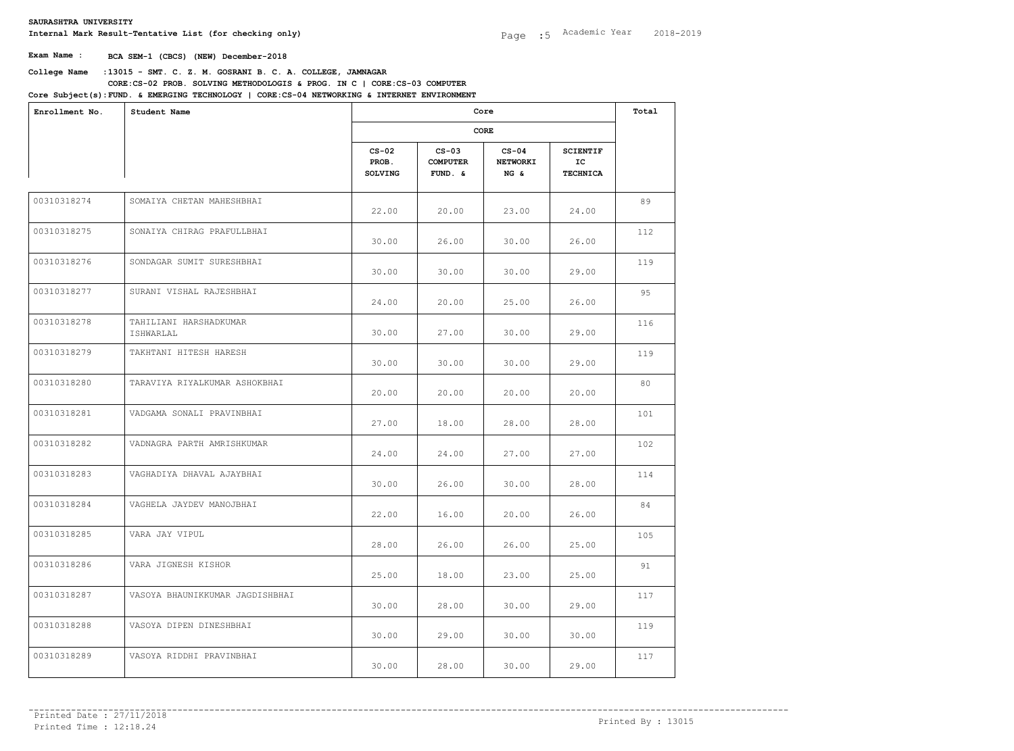| Enrollment No. | Student Name                        |                                    | Core<br>CORE                          |                                    |                                          |     |  |
|----------------|-------------------------------------|------------------------------------|---------------------------------------|------------------------------------|------------------------------------------|-----|--|
|                |                                     |                                    |                                       |                                    |                                          |     |  |
|                |                                     | $CS-02$<br>PROB.<br><b>SOLVING</b> | $CS-03$<br><b>COMPUTER</b><br>FUND. & | $CS-04$<br><b>NETWORKI</b><br>NG & | <b>SCIENTIF</b><br>IC<br><b>TECHNICA</b> |     |  |
| 00310318274    | SOMAIYA CHETAN MAHESHBHAI           | 22.00                              | 20.00                                 | 23.00                              | 24.00                                    | 89  |  |
| 00310318275    | SONAIYA CHIRAG PRAFULLBHAI          | 30.00                              | 26.00                                 | 30.00                              | 26.00                                    | 112 |  |
| 00310318276    | SONDAGAR SUMIT SURESHBHAI           | 30.00                              | 30.00                                 | 30.00                              | 29.00                                    | 119 |  |
| 00310318277    | SURANI VISHAL RAJESHBHAI            | 24.00                              | 20.00                                 | 25.00                              | 26.00                                    | 95  |  |
| 00310318278    | TAHILIANI HARSHADKUMAR<br>ISHWARLAL | 30.00                              | 27.00                                 | 30.00                              | 29.00                                    | 116 |  |
| 00310318279    | TAKHTANI HITESH HARESH              | 30.00                              | 30.00                                 | 30.00                              | 29.00                                    | 119 |  |
| 00310318280    | TARAVIYA RIYALKUMAR ASHOKBHAI       | 20.00                              | 20.00                                 | 20.00                              | 20.00                                    | 80  |  |
| 00310318281    | VADGAMA SONALI PRAVINBHAI           | 27.00                              | 18.00                                 | 28.00                              | 28.00                                    | 101 |  |
| 00310318282    | VADNAGRA PARTH AMRISHKUMAR          | 24.00                              | 24.00                                 | 27.00                              | 27.00                                    | 102 |  |
| 00310318283    | VAGHADIYA DHAVAL AJAYBHAI           | 30.00                              | 26.00                                 | 30.00                              | 28.00                                    | 114 |  |
| 00310318284    | VAGHELA JAYDEV MANOJBHAI            | 22.00                              | 16.00                                 | 20.00                              | 26.00                                    | 84  |  |
| 00310318285    | VARA JAY VIPUL                      | 28.00                              | 26.00                                 | 26.00                              | 25.00                                    | 105 |  |
| 00310318286    | VARA JIGNESH KISHOR                 | 25.00                              | 18.00                                 | 23.00                              | 25.00                                    | 91  |  |
| 00310318287    | VASOYA BHAUNIKKUMAR JAGDISHBHAI     | 30.00                              | 28.00                                 | 30.00                              | 29.00                                    | 117 |  |
| 00310318288    | VASOYA DIPEN DINESHBHAI             | 30.00                              | 29.00                                 | 30.00                              | 30.00                                    | 119 |  |
| 00310318289    | VASOYA RIDDHI PRAVINBHAI            | 30.00                              | 28.00                                 | 30.00                              | 29.00                                    | 117 |  |
|                |                                     |                                    |                                       |                                    |                                          |     |  |